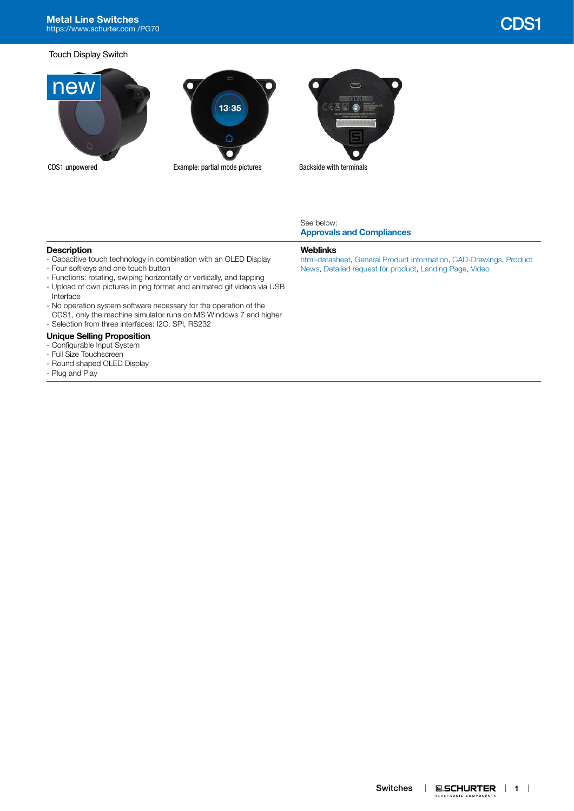# **Metal Line Switches** Metal Line Switches and CDS1 charged a state of the control of the control of the control of the control of the control of the control of the control of the control of the control of the control of the control of the contr

### Touch Display Switch





#### See below: **[Approvals and Compliances](#page-1-0)**

# **Description**

- Capacitive touch technology in combination with an OLED Display
- Four softkeys and one touch button
- Functions: rotating, swiping horizontally or vertically, and tapping
- Upload of own pictures in png format and animated gif videos via USB Interface
- No operation system software necessary for the operation of the CDS1, only the machine simulator runs on MS Windows 7 and higher - Selection from three interfaces: I2C, SPI, RS232

# **Unique Selling Proposition**

- Configurable Input System
- Full Size Touchscreen
- Round shaped OLED Display
- Plug and Play
- 

#### **Weblinks**

[html-datasheet,](http://www.schurter.ch/en/datasheet/CDS1) [General Product Information](https://www.schurter.ch/en/products/es_general_info.asp?language_id=0), [CAD-Drawings,](https://www.schurter.com/en/support/iframe_cad.asp?SearchText=CDS1&ConfirmButton&SearchFilter=Type) [Product](https://www.schurter.com/en/Newsroom?sbu=switches)  [News](https://www.schurter.com/en/Newsroom?sbu=switches), [Detailed request for product,](https://www.schurter.com/en/Contacts/Contact-Form?type=CDS1) [Landing Page](https://www.schurter.com/en/CDS1), [Video](https://youtu.be/N8W-XoaqrlI)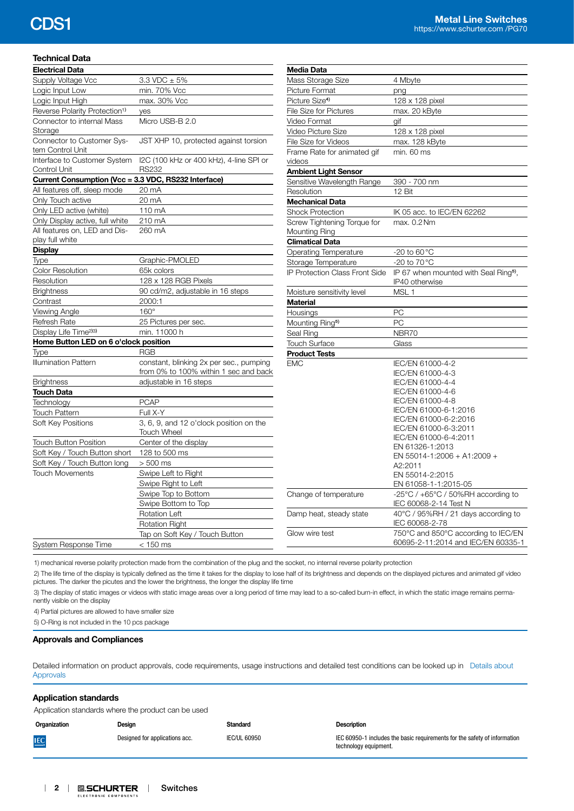# **Technical Data**

| <b>Electrical Data</b>                               |                                                                                  |  |  |  |  |  |  |
|------------------------------------------------------|----------------------------------------------------------------------------------|--|--|--|--|--|--|
| Supply Voltage Vcc                                   | $3.3$ VDC $\pm$ 5%                                                               |  |  |  |  |  |  |
| Logic Input Low                                      | min. 70% Vcc                                                                     |  |  |  |  |  |  |
| Logic Input High                                     | max. 30% Vcc                                                                     |  |  |  |  |  |  |
| Reverse Polarity Protection <sup>1)</sup>            | yes                                                                              |  |  |  |  |  |  |
| Connector to internal Mass                           | Micro USB-B 2.0                                                                  |  |  |  |  |  |  |
| Storage                                              |                                                                                  |  |  |  |  |  |  |
| Connector to Customer Sys-                           | JST XHP 10, protected against torsion                                            |  |  |  |  |  |  |
| tem Control Unit                                     |                                                                                  |  |  |  |  |  |  |
| Interface to Customer System                         | I2C (100 kHz or 400 kHz), 4-line SPI or                                          |  |  |  |  |  |  |
| Control Unit                                         | <b>RS232</b>                                                                     |  |  |  |  |  |  |
| Current Consumption (Vcc = 3.3 VDC, RS232 Interface) |                                                                                  |  |  |  |  |  |  |
| All features off, sleep mode                         | 20 mA                                                                            |  |  |  |  |  |  |
| Only Touch active                                    | 20 mA                                                                            |  |  |  |  |  |  |
| Only LED active (white)                              | 110 mA                                                                           |  |  |  |  |  |  |
| Only Display active, full white                      | 210 mA                                                                           |  |  |  |  |  |  |
| All features on, LED and Dis-                        | 260 mA                                                                           |  |  |  |  |  |  |
| play full white                                      |                                                                                  |  |  |  |  |  |  |
| <b>Display</b>                                       |                                                                                  |  |  |  |  |  |  |
| Type                                                 | Graphic-PMOLED                                                                   |  |  |  |  |  |  |
| <b>Color Resolution</b>                              | 65k colors                                                                       |  |  |  |  |  |  |
| Resolution                                           | 128 x 128 RGB Pixels                                                             |  |  |  |  |  |  |
| <b>Brightness</b>                                    | 90 cd/m2, adjustable in 16 steps                                                 |  |  |  |  |  |  |
| Contrast                                             | 2000:1                                                                           |  |  |  |  |  |  |
| <b>Viewing Angle</b>                                 | $160^\circ$                                                                      |  |  |  |  |  |  |
| Refresh Rate                                         | 25 Pictures per sec.                                                             |  |  |  |  |  |  |
| Display Life Time <sup>2)3)</sup>                    | min. 11000 h                                                                     |  |  |  |  |  |  |
| Home Button LED on 6 o'clock position                |                                                                                  |  |  |  |  |  |  |
| Type                                                 | <b>RGB</b>                                                                       |  |  |  |  |  |  |
| <b>Illumination Pattern</b>                          | constant, blinking 2x per sec., pumping<br>from 0% to 100% within 1 sec and back |  |  |  |  |  |  |
| <b>Brightness</b>                                    | adjustable in 16 steps                                                           |  |  |  |  |  |  |
| <b>Touch Data</b>                                    |                                                                                  |  |  |  |  |  |  |
| Technology                                           | <b>PCAP</b>                                                                      |  |  |  |  |  |  |
| <b>Touch Pattern</b>                                 | Full X-Y                                                                         |  |  |  |  |  |  |
| Soft Key Positions                                   | 3, 6, 9, and 12 o'clock position on the                                          |  |  |  |  |  |  |
|                                                      | <b>Touch Wheel</b>                                                               |  |  |  |  |  |  |
| <b>Touch Button Position</b>                         | Center of the display                                                            |  |  |  |  |  |  |
| Soft Key / Touch Button short                        | 128 to 500 ms                                                                    |  |  |  |  |  |  |
| Soft Key / Touch Button long                         | $> 500$ ms                                                                       |  |  |  |  |  |  |
| <b>Touch Movements</b>                               | Swipe Left to Right                                                              |  |  |  |  |  |  |
|                                                      | Swipe Right to Left                                                              |  |  |  |  |  |  |
|                                                      | Swipe Top to Bottom                                                              |  |  |  |  |  |  |
|                                                      | Swipe Bottom to Top                                                              |  |  |  |  |  |  |
|                                                      | <b>Rotation Left</b>                                                             |  |  |  |  |  |  |
|                                                      | <b>Rotation Right</b>                                                            |  |  |  |  |  |  |
|                                                      | Tap on Soft Key / Touch Button                                                   |  |  |  |  |  |  |
| <b>System Response Time</b>                          | < 150 ms                                                                         |  |  |  |  |  |  |

| Media Data                                   |                                                                                 |
|----------------------------------------------|---------------------------------------------------------------------------------|
| Mass Storage Size                            | 4 Mbyte                                                                         |
| Picture Format                               | png                                                                             |
| Picture Size <sup>4)</sup>                   | 128 x 128 pixel                                                                 |
| <b>File Size for Pictures</b>                | max. 20 kByte                                                                   |
| Video Format                                 | gif                                                                             |
| Video Picture Size                           | 128 x 128 pixel                                                                 |
| File Size for Videos                         | max. 128 kByte                                                                  |
| Frame Rate for animated gif<br>videos        | min. 60 ms                                                                      |
| <b>Ambient Light Sensor</b>                  |                                                                                 |
| Sensitive Wavelength Range                   | 390 - 700 nm                                                                    |
| Resolution                                   | 12 Bit                                                                          |
| <b>Mechanical Data</b>                       |                                                                                 |
| <b>Shock Protection</b>                      | IK 05 acc. to IEC/EN 62262                                                      |
| Screw Tightening Torque for<br>Mounting Ring | max. 0.2 Nm                                                                     |
| <b>Climatical Data</b>                       |                                                                                 |
| Operating Temperature                        | -20 to $60^{\circ}$ C                                                           |
| Storage Temperature                          | -20 to 70 °C                                                                    |
| IP Protection Class Front Side               | IP 67 when mounted with Seal Ring <sup>5)</sup> ,                               |
|                                              | IP40 otherwise                                                                  |
| Moisture sensitivity level                   | MSL <sub>1</sub>                                                                |
| Material                                     |                                                                                 |
| Housings                                     | PC                                                                              |
| Mounting Ring <sup>5)</sup>                  | PC                                                                              |
| Seal Ring                                    | NBR70                                                                           |
| <b>Touch Surface</b>                         | Glass                                                                           |
| <b>Product Tests</b>                         |                                                                                 |
| <b>EMC</b>                                   | IEC/EN 61000-4-2                                                                |
|                                              | IEC/EN 61000-4-3                                                                |
|                                              | IEC/EN 61000-4-4                                                                |
|                                              | IEC/EN 61000-4-6                                                                |
|                                              | IEC/EN 61000-4-8                                                                |
|                                              | IEC/EN 61000-6-1:2016                                                           |
|                                              | IEC/EN 61000-6-2:2016                                                           |
|                                              | IEC/EN 61000-6-3:2011                                                           |
|                                              | IEC/EN 61000-6-4:2011                                                           |
|                                              | EN 61326-1:2013                                                                 |
|                                              | EN 55014-1:2006 + A1:2009 +                                                     |
|                                              | A2:2011                                                                         |
|                                              | EN 55014-2:2015                                                                 |
|                                              | EN 61058-1-1:2015-05                                                            |
| Change of temperature                        | -25 $\degree$ C / +65 $\degree$ C / 50%RH according to<br>IEC 60068-2-14 Test N |
| Damp heat, steady state                      | 40°C / 95%RH / 21 days according to<br>IEC 60068-2-78                           |
| Glow wire test                               | 750°C and 850°C according to IEC/EN<br>60695-2-11:2014 and IEC/EN 60335-1       |

1) mechanical reverse polarity protection made from the combination of the plug and the socket, no internal reverse polarity protection

2) The life time of the display is typically defined as the time it takes for the display to lose half of its brightness and depends on the displayed pictures and animated gif video pictures. The darker the picutes and the lower the brightness, the longer the display life time

3) The display of static images or videos with static image areas over a long period of time may lead to a so-called burn-in effect, in which the static image remains permanently visible on the display

4) Partial pictures are allowed to have smaller size

5) O-Ring is not included in the 10 pcs package

### <span id="page-1-0"></span>**Approvals and Compliances**

Detailed information on product approvals, code requirements, usage instructions and detailed test conditions can be looked up in [Details about](https://www.schurter.com/en/Components/Connectors/General-Product-Information#1.1)  [Approvals](https://www.schurter.com/en/Components/Connectors/General-Product-Information#1.1)

# **Application standards** Application standards where the product can be used **Organization Design Standard Description** Designed for applications acc. **IEC/UL 60950** IEC 60950-1 includes the basic requirements for the safety of information **IEC** technology equipment.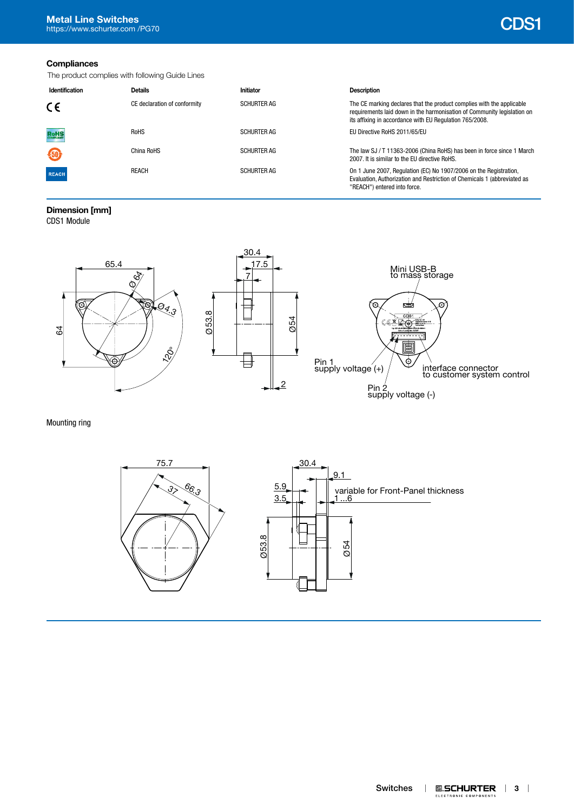# **Compliances**

The product complies with following Guide Lines

| Identification | <b>Details</b>               | Initiator          | <b>Description</b>                                                                                                                                                                                          |
|----------------|------------------------------|--------------------|-------------------------------------------------------------------------------------------------------------------------------------------------------------------------------------------------------------|
| CE             | CE declaration of conformity | <b>SCHURTER AG</b> | The CE marking declares that the product complies with the applicable<br>requirements laid down in the harmonisation of Community legislation on<br>its affixing in accordance with EU Regulation 765/2008. |
| <b>RoHS</b>    | <b>RoHS</b>                  | <b>SCHURTER AG</b> | EU Directive RoHS 2011/65/EU                                                                                                                                                                                |
| 40             | China RoHS                   | <b>SCHURTER AG</b> | The law SJ / T 11363-2006 (China RoHS) has been in force since 1 March<br>2007. It is similar to the EU directive RoHS.                                                                                     |
| <b>REACH</b>   | <b>REACH</b>                 | <b>SCHURTER AG</b> | On 1 June 2007, Regulation (EC) No 1907/2006 on the Registration,<br>Evaluation, Authorization and Restriction of Chemicals 1 (abbreviated as<br>"REACH") entered into force.                               |

# **Dimension [mm]**

CDS1 Module



Mounting ring

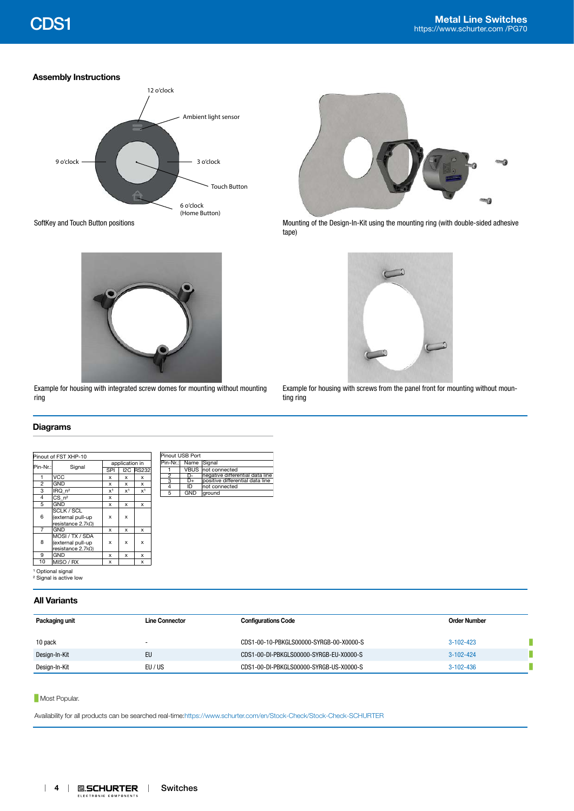# **Assembly Instructions**





tape)



Example for housing with integrated screw domes for mounting without mounting ring



Example for housing with screws from the panel front for mounting without mounting ring

# **Diagrams**

| Pinout of FST XHP-10 |                                   |                |                |                  | Pinout USB Port |                |            |                                 |
|----------------------|-----------------------------------|----------------|----------------|------------------|-----------------|----------------|------------|---------------------------------|
| Signal<br>$ Pin-Nr.$ |                                   | application in |                |                  |                 | Pin-Nr.:       | Name       | Signal                          |
|                      |                                   | SPI            |                | <b>I2C RS232</b> |                 |                |            | VBUS not connected              |
|                      | <b>VCC</b>                        | x              | x              | x                |                 | $\overline{2}$ | D-         | negative differential data line |
| $\overline{2}$       | <b>GND</b>                        | x              | x              | x                |                 | 3              | D+         | positive differential data line |
|                      |                                   |                |                |                  |                 | 4              | ID         | not connected                   |
| 3                    | IRQ_n <sup>2</sup>                | x <sup>1</sup> | x <sup>1</sup> | X <sup>1</sup>   |                 | $\overline{5}$ | <b>GND</b> | ground                          |
| 4                    | $CS$ $n^2$                        | x              |                |                  |                 |                |            |                                 |
| 5                    | <b>GND</b>                        | x              | x              | x                |                 |                |            |                                 |
|                      | <b>SCLK / SCL</b>                 |                |                |                  |                 |                |            |                                 |
| 6                    | (external pull-up                 | x              | x              |                  |                 |                |            |                                 |
|                      | resistance $2.7kΩ$ )              |                |                |                  |                 |                |            |                                 |
| 7                    | GND<br>x<br>x<br>x                |                |                |                  |                 |                |            |                                 |
|                      | MOSI / TX / SDA                   |                |                |                  |                 |                |            |                                 |
| 8                    | (external pull-up                 | x              | x              | $\mathbf x$      |                 |                |            |                                 |
|                      | resistance $2.7 \text{k}\Omega$   |                |                |                  |                 |                |            |                                 |
| 9                    | GND                               | x              | x              | x                |                 |                |            |                                 |
| 10                   | MISO / RX                         | x              |                | x                |                 |                |            |                                 |
|                      | <sup>1</sup> Optional signal      |                |                |                  |                 |                |            |                                 |
|                      |                                   |                |                |                  |                 |                |            |                                 |
|                      | <sup>2</sup> Signal is active low |                |                |                  |                 |                |            |                                 |

# **All Variants**

| Packaging unit | Line Connector | <b>Configurations Code</b>              | Order Number    |  |
|----------------|----------------|-----------------------------------------|-----------------|--|
| 10 pack        |                | CDS1-00-10-PBKGLS00000-SYRGB-00-X0000-S | $3-102-423$     |  |
| Design-In-Kit  | EU             | CDS1-00-DI-PBKGLS00000-SYRGB-EU-X0000-S | $3 - 102 - 424$ |  |
| Design-In-Kit  | EU / US        | CDS1-00-DI-PBKGLS00000-SYRGB-US-X0000-S | $3-102-436$     |  |

# **Most Popular.**

Availability for all products can be searched real-time[:https://www.schurter.com/en/Stock-Check/Stock-Check-SCHURTER](https://www.schurter.com/en/Stock-Check/Stock-Check-SCHURTER)

ELECTRONIC COMPONENTS